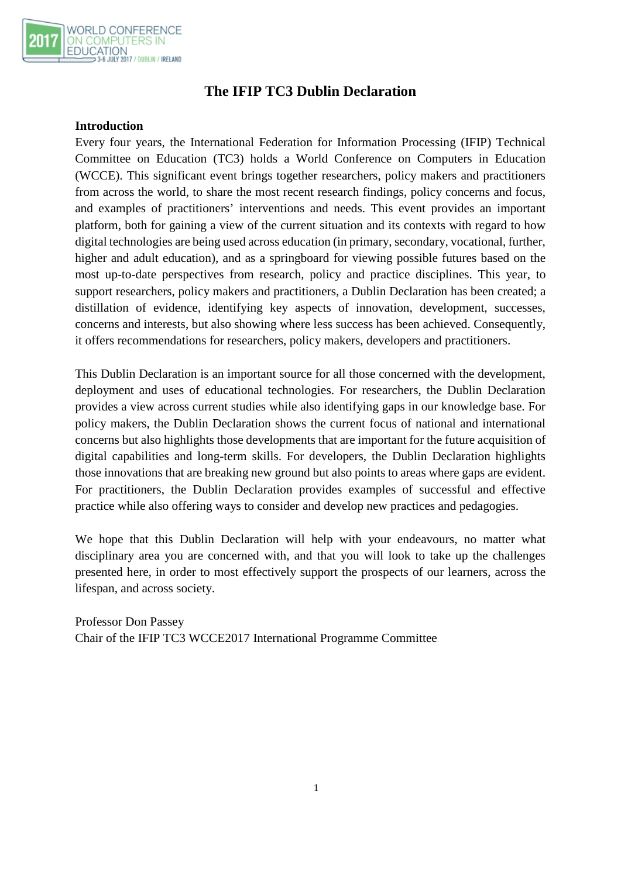

# **The IFIP TC3 Dublin Declaration**

#### **Introduction**

Every four years, the International Federation for Information Processing (IFIP) Technical Committee on Education (TC3) holds a World Conference on Computers in Education (WCCE). This significant event brings together researchers, policy makers and practitioners from across the world, to share the most recent research findings, policy concerns and focus, and examples of practitioners' interventions and needs. This event provides an important platform, both for gaining a view of the current situation and its contexts with regard to how digital technologies are being used across education (in primary, secondary, vocational, further, higher and adult education), and as a springboard for viewing possible futures based on the most up-to-date perspectives from research, policy and practice disciplines. This year, to support researchers, policy makers and practitioners, a Dublin Declaration has been created; a distillation of evidence, identifying key aspects of innovation, development, successes, concerns and interests, but also showing where less success has been achieved. Consequently, it offers recommendations for researchers, policy makers, developers and practitioners.

This Dublin Declaration is an important source for all those concerned with the development, deployment and uses of educational technologies. For researchers, the Dublin Declaration provides a view across current studies while also identifying gaps in our knowledge base. For policy makers, the Dublin Declaration shows the current focus of national and international concerns but also highlights those developments that are important for the future acquisition of digital capabilities and long-term skills. For developers, the Dublin Declaration highlights those innovations that are breaking new ground but also points to areas where gaps are evident. For practitioners, the Dublin Declaration provides examples of successful and effective practice while also offering ways to consider and develop new practices and pedagogies.

We hope that this Dublin Declaration will help with your endeavours, no matter what disciplinary area you are concerned with, and that you will look to take up the challenges presented here, in order to most effectively support the prospects of our learners, across the lifespan, and across society.

Professor Don Passey Chair of the IFIP TC3 WCCE2017 International Programme Committee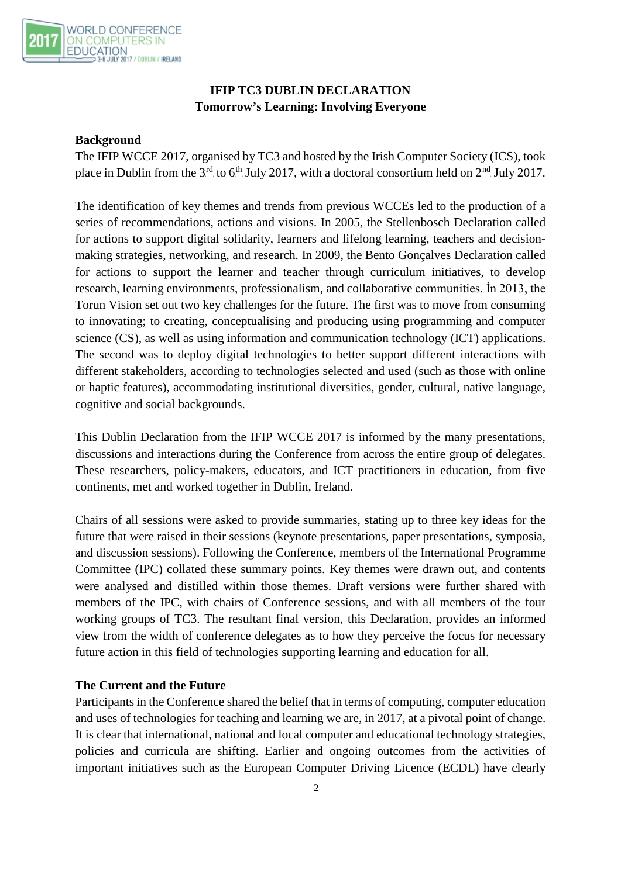

# **IFIP TC3 DUBLIN DECLARATION Tomorrow's Learning: Involving Everyone**

### **Background**

The IFIP WCCE 2017, organised by TC3 and hosted by the Irish Computer Society (ICS), took place in Dublin from the 3<sup>rd</sup> to 6<sup>th</sup> July 2017, with a doctoral consortium held on 2<sup>nd</sup> July 2017.

The identification of key themes and trends from previous WCCEs led to the production of a series of recommendations, actions and visions. In 2005, the Stellenbosch Declaration called for actions to support digital solidarity, learners and lifelong learning, teachers and decisionmaking strategies, networking, and research. In 2009, the Bento Gonçalves Declaration called for actions to support the learner and teacher through curriculum initiatives, to develop research, learning environments, professionalism, and collaborative communities. İn 2013, the Torun Vision set out two key challenges for the future. The first was to move from consuming to innovating; to creating, conceptualising and producing using programming and computer science (CS), as well as using information and communication technology (ICT) applications. The second was to deploy digital technologies to better support different interactions with different stakeholders, according to technologies selected and used (such as those with online or haptic features), accommodating institutional diversities, gender, cultural, native language, cognitive and social backgrounds.

This Dublin Declaration from the IFIP WCCE 2017 is informed by the many presentations, discussions and interactions during the Conference from across the entire group of delegates. These researchers, policy-makers, educators, and ICT practitioners in education, from five continents, met and worked together in Dublin, Ireland.

Chairs of all sessions were asked to provide summaries, stating up to three key ideas for the future that were raised in their sessions (keynote presentations, paper presentations, symposia, and discussion sessions). Following the Conference, members of the International Programme Committee (IPC) collated these summary points. Key themes were drawn out, and contents were analysed and distilled within those themes. Draft versions were further shared with members of the IPC, with chairs of Conference sessions, and with all members of the four working groups of TC3. The resultant final version, this Declaration, provides an informed view from the width of conference delegates as to how they perceive the focus for necessary future action in this field of technologies supporting learning and education for all.

#### **The Current and the Future**

Participants in the Conference shared the belief that in terms of computing, computer education and uses of technologies for teaching and learning we are, in 2017, at a pivotal point of change. It is clear that international, national and local computer and educational technology strategies, policies and curricula are shifting. Earlier and ongoing outcomes from the activities of important initiatives such as the European Computer Driving Licence (ECDL) have clearly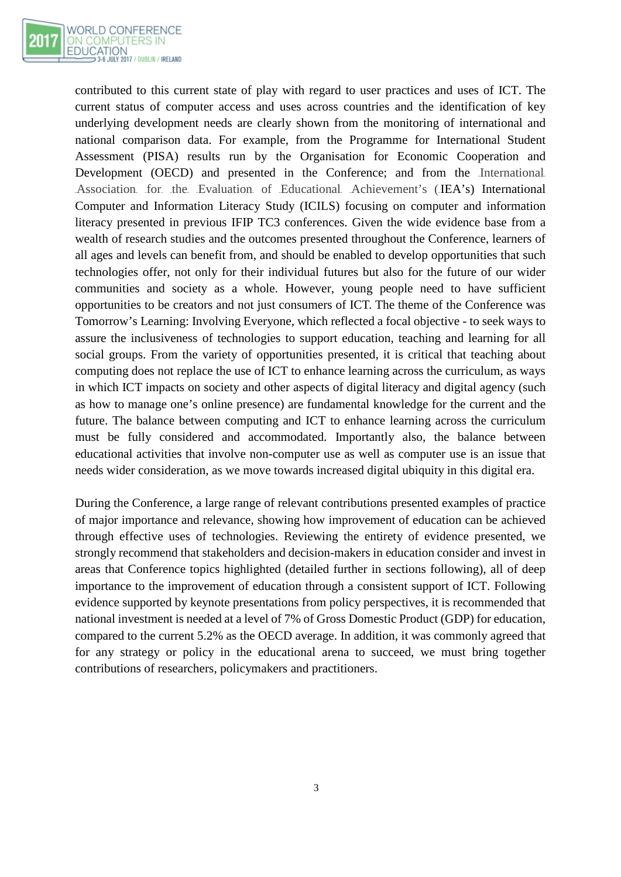

contributed to this current state of play with regard to user practices and uses of ICT. The current status of computer access and uses across countries and the identification of key underlying development needs are clearly shown from the monitoring of international and national comparison data. For example, from the Programme for International Student Assessment (PISA) results run by the Organisation for Economic Cooperation and Development (OECD) and presented in the Conference; and from the *International* **23T**Association**23T 23T**for**23T 23T**the**23T 23T**Evaluation**23T** of **23T**Educational**23T 23T**Achievement's (**23T**IEA's) International Computer and Information Literacy Study (ICILS) focusing on computer and information literacy presented in previous IFIP TC3 conferences. Given the wide evidence base from a wealth of research studies and the outcomes presented throughout the Conference, learners of all ages and levels can benefit from, and should be enabled to develop opportunities that such technologies offer, not only for their individual futures but also for the future of our wider communities and society as a whole. However, young people need to have sufficient opportunities to be creators and not just consumers of ICT. The theme of the Conference was Tomorrow's Learning: Involving Everyone, which reflected a focal objective - to seek ways to assure the inclusiveness of technologies to support education, teaching and learning for all social groups. From the variety of opportunities presented, it is critical that teaching about computing does not replace the use of ICT to enhance learning across the curriculum, as ways in which ICT impacts on society and other aspects of digital literacy and digital agency (such as how to manage one's online presence) are fundamental knowledge for the current and the future. The balance between computing and ICT to enhance learning across the curriculum must be fully considered and accommodated. Importantly also, the balance between educational activities that involve non-computer use as well as computer use is an issue that needs wider consideration, as we move towards increased digital ubiquity in this digital era.

During the Conference, a large range of relevant contributions presented examples of practice of major importance and relevance, showing how improvement of education can be achieved through effective uses of technologies. Reviewing the entirety of evidence presented, we strongly recommend that stakeholders and decision-makers in education consider and invest in areas that Conference topics highlighted (detailed further in sections following), all of deep importance to the improvement of education through a consistent support of ICT. Following evidence supported by keynote presentations from policy perspectives, it is recommended that national investment is needed at a level of 7% of Gross Domestic Product (GDP) for education, compared to the current 5.2% as the OECD average. In addition, it was commonly agreed that for any strategy or policy in the educational arena to succeed, we must bring together contributions of researchers, policymakers and practitioners.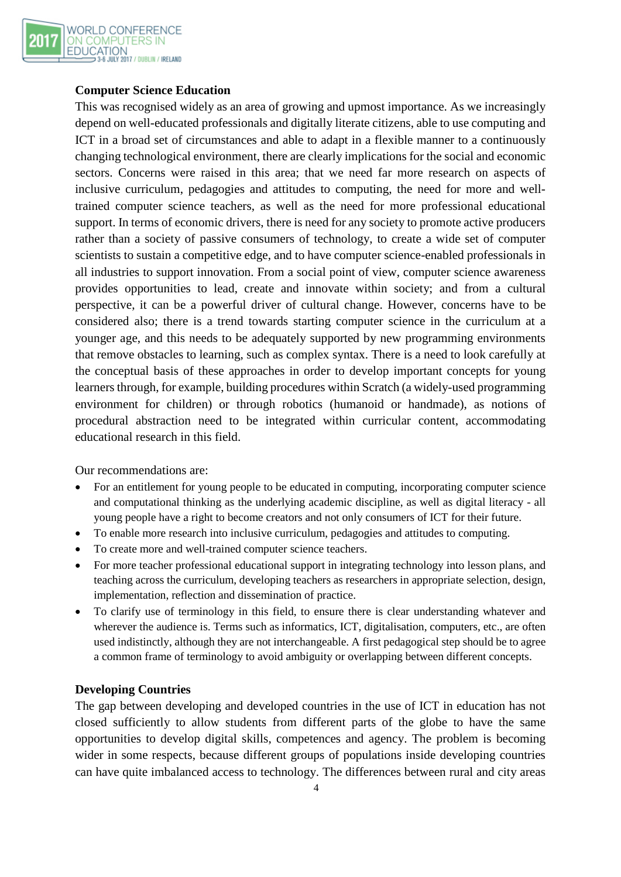

## **Computer Science Education**

This was recognised widely as an area of growing and upmost importance. As we increasingly depend on well-educated professionals and digitally literate citizens, able to use computing and ICT in a broad set of circumstances and able to adapt in a flexible manner to a continuously changing technological environment, there are clearly implications for the social and economic sectors. Concerns were raised in this area; that we need far more research on aspects of inclusive curriculum, pedagogies and attitudes to computing, the need for more and welltrained computer science teachers, as well as the need for more professional educational support. In terms of economic drivers, there is need for any society to promote active producers rather than a society of passive consumers of technology, to create a wide set of computer scientists to sustain a competitive edge, and to have computer science-enabled professionals in all industries to support innovation. From a social point of view, computer science awareness provides opportunities to lead, create and innovate within society; and from a cultural perspective, it can be a powerful driver of cultural change. However, concerns have to be considered also; there is a trend towards starting computer science in the curriculum at a younger age, and this needs to be adequately supported by new programming environments that remove obstacles to learning, such as complex syntax. There is a need to look carefully at the conceptual basis of these approaches in order to develop important concepts for young learnersthrough, for example, building procedures within Scratch (a widely-used programming environment for children) or through robotics (humanoid or handmade), as notions of procedural abstraction need to be integrated within curricular content, accommodating educational research in this field.

Our recommendations are:

- For an entitlement for young people to be educated in computing, incorporating computer science and computational thinking as the underlying academic discipline, as well as digital literacy - all young people have a right to become creators and not only consumers of ICT for their future.
- To enable more research into inclusive curriculum, pedagogies and attitudes to computing.
- To create more and well-trained computer science teachers.
- For more teacher professional educational support in integrating technology into lesson plans, and teaching across the curriculum, developing teachers as researchers in appropriate selection, design, implementation, reflection and dissemination of practice.
- To clarify use of terminology in this field, to ensure there is clear understanding whatever and wherever the audience is. Terms such as informatics, ICT, digitalisation, computers, etc., are often used indistinctly, although they are not interchangeable. A first pedagogical step should be to agree a common frame of terminology to avoid ambiguity or overlapping between different concepts.

### **Developing Countries**

The gap between developing and developed countries in the use of ICT in education has not closed sufficiently to allow students from different parts of the globe to have the same opportunities to develop digital skills, competences and agency. The problem is becoming wider in some respects, because different groups of populations inside developing countries can have quite imbalanced access to technology. The differences between rural and city areas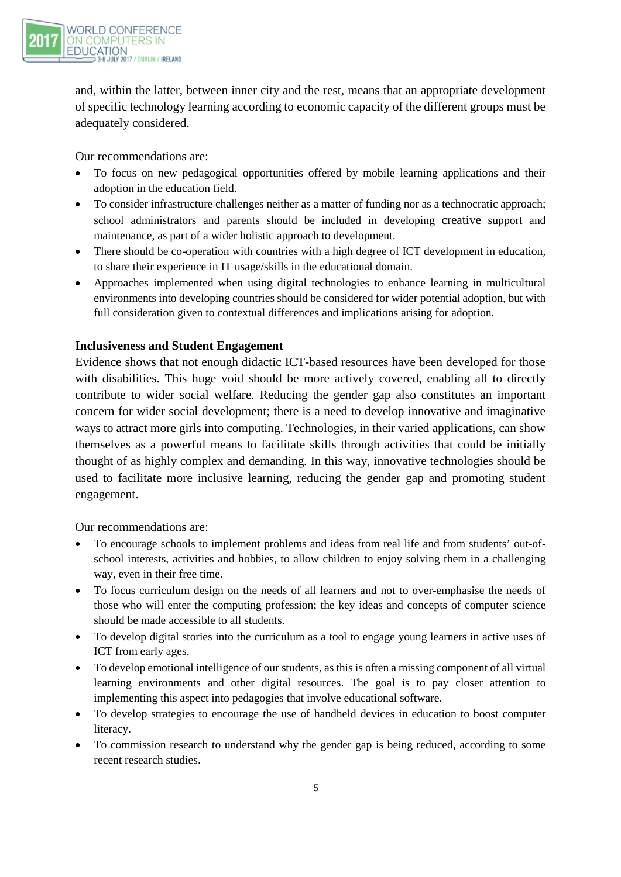

and, within the latter, between inner city and the rest, means that an appropriate development of specific technology learning according to economic capacity of the different groups must be adequately considered.

Our recommendations are:

- To focus on new pedagogical opportunities offered by mobile learning applications and their adoption in the education field.
- To consider infrastructure challenges neither as a matter of funding nor as a technocratic approach; school administrators and parents should be included in developing creative support and maintenance, as part of a wider holistic approach to development.
- There should be co-operation with countries with a high degree of ICT development in education, to share their experience in IT usage/skills in the educational domain.
- Approaches implemented when using digital technologies to enhance learning in multicultural environments into developing countries should be considered for wider potential adoption, but with full consideration given to contextual differences and implications arising for adoption.

### **Inclusiveness and Student Engagement**

Evidence shows that not enough didactic ICT-based resources have been developed for those with disabilities. This huge void should be more actively covered, enabling all to directly contribute to wider social welfare. Reducing the gender gap also constitutes an important concern for wider social development; there is a need to develop innovative and imaginative ways to attract more girls into computing. Technologies, in their varied applications, can show themselves as a powerful means to facilitate skills through activities that could be initially thought of as highly complex and demanding. In this way, innovative technologies should be used to facilitate more inclusive learning, reducing the gender gap and promoting student engagement.

Our recommendations are:

- To encourage schools to implement problems and ideas from real life and from students' out-ofschool interests, activities and hobbies, to allow children to enjoy solving them in a challenging way, even in their free time.
- To focus curriculum design on the needs of all learners and not to over-emphasise the needs of those who will enter the computing profession; the key ideas and concepts of computer science should be made accessible to all students.
- To develop digital stories into the curriculum as a tool to engage young learners in active uses of ICT from early ages.
- To develop emotional intelligence of our students, as this is often a missing component of all virtual learning environments and other digital resources. The goal is to pay closer attention to implementing this aspect into pedagogies that involve educational software.
- To develop strategies to encourage the use of handheld devices in education to boost computer literacy.
- To commission research to understand why the gender gap is being reduced, according to some recent research studies.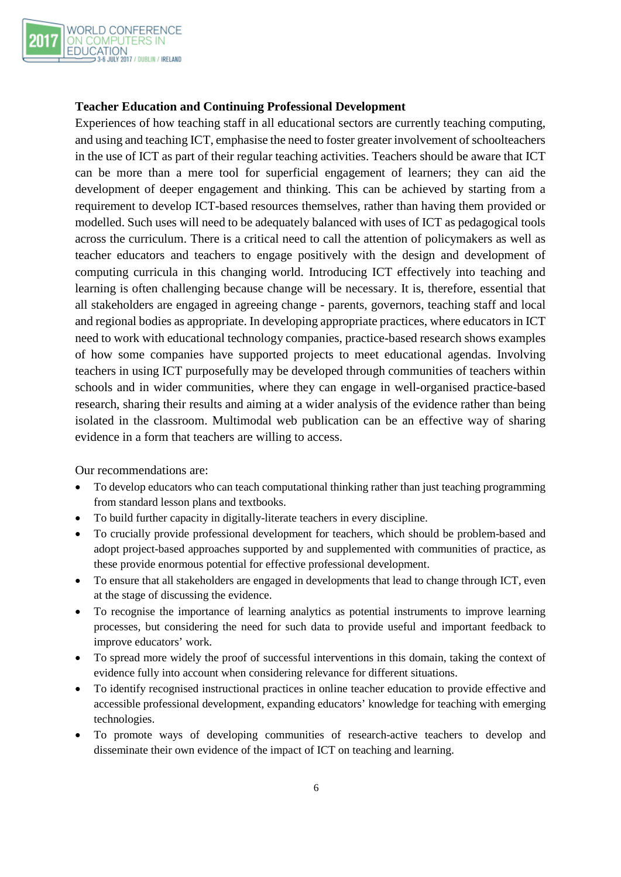

## **Teacher Education and Continuing Professional Development**

Experiences of how teaching staff in all educational sectors are currently teaching computing, and using and teaching ICT, emphasise the need to foster greater involvement of schoolteachers in the use of ICT as part of their regular teaching activities. Teachers should be aware that ICT can be more than a mere tool for superficial engagement of learners; they can aid the development of deeper engagement and thinking. This can be achieved by starting from a requirement to develop ICT-based resources themselves, rather than having them provided or modelled. Such uses will need to be adequately balanced with uses of ICT as pedagogical tools across the curriculum. There is a critical need to call the attention of policymakers as well as teacher educators and teachers to engage positively with the design and development of computing curricula in this changing world. Introducing ICT effectively into teaching and learning is often challenging because change will be necessary. It is, therefore, essential that all stakeholders are engaged in agreeing change - parents, governors, teaching staff and local and regional bodies as appropriate. In developing appropriate practices, where educators in ICT need to work with educational technology companies, practice-based research shows examples of how some companies have supported projects to meet educational agendas. Involving teachers in using ICT purposefully may be developed through communities of teachers within schools and in wider communities, where they can engage in well-organised practice-based research, sharing their results and aiming at a wider analysis of the evidence rather than being isolated in the classroom. Multimodal web publication can be an effective way of sharing evidence in a form that teachers are willing to access.

Our recommendations are:

- To develop educators who can teach computational thinking rather than just teaching programming from standard lesson plans and textbooks.
- To build further capacity in digitally-literate teachers in every discipline.
- To crucially provide professional development for teachers, which should be problem-based and adopt project-based approaches supported by and supplemented with communities of practice, as these provide enormous potential for effective professional development.
- To ensure that all stakeholders are engaged in developments that lead to change through ICT, even at the stage of discussing the evidence.
- To recognise the importance of learning analytics as potential instruments to improve learning processes, but considering the need for such data to provide useful and important feedback to improve educators' work.
- To spread more widely the proof of successful interventions in this domain, taking the context of evidence fully into account when considering relevance for different situations.
- To identify recognised instructional practices in online teacher education to provide effective and accessible professional development, expanding educators' knowledge for teaching with emerging technologies.
- To promote ways of developing communities of research-active teachers to develop and disseminate their own evidence of the impact of ICT on teaching and learning.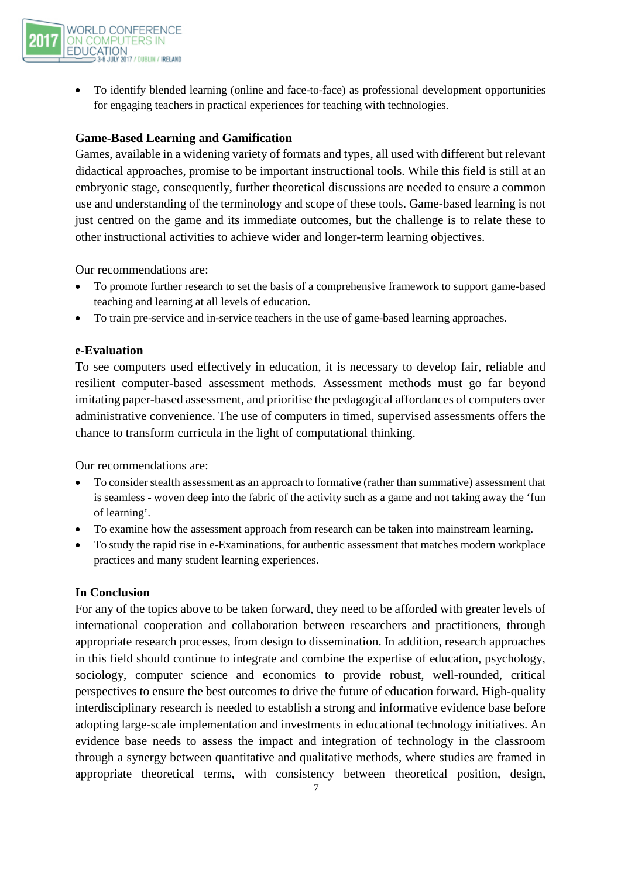

• To identify blended learning (online and face-to-face) as professional development opportunities for engaging teachers in practical experiences for teaching with technologies.

## **Game-Based Learning and Gamification**

Games, available in a widening variety of formats and types, all used with different but relevant didactical approaches, promise to be important instructional tools. While this field is still at an embryonic stage, consequently, further theoretical discussions are needed to ensure a common use and understanding of the terminology and scope of these tools. Game-based learning is not just centred on the game and its immediate outcomes, but the challenge is to relate these to other instructional activities to achieve wider and longer-term learning objectives.

Our recommendations are:

- To promote further research to set the basis of a comprehensive framework to support game-based teaching and learning at all levels of education.
- To train pre-service and in-service teachers in the use of game-based learning approaches.

#### **e-Evaluation**

To see computers used effectively in education, it is necessary to develop fair, reliable and resilient computer-based assessment methods. Assessment methods must go far beyond imitating paper-based assessment, and prioritise the pedagogical affordances of computers over administrative convenience. The use of computers in timed, supervised assessments offers the chance to transform curricula in the light of computational thinking.

Our recommendations are:

- To consider stealth assessment as an approach to formative (rather than summative) assessment that is seamless - woven deep into the fabric of the activity such as a game and not taking away the 'fun of learning'.
- To examine how the assessment approach from research can be taken into mainstream learning.
- To study the rapid rise in e-Examinations, for authentic assessment that matches modern workplace practices and many student learning experiences.

## **In Conclusion**

For any of the topics above to be taken forward, they need to be afforded with greater levels of international cooperation and collaboration between researchers and practitioners, through appropriate research processes, from design to dissemination. In addition, research approaches in this field should continue to integrate and combine the expertise of education, psychology, sociology, computer science and economics to provide robust, well-rounded, critical perspectives to ensure the best outcomes to drive the future of education forward. High-quality interdisciplinary research is needed to establish a strong and informative evidence base before adopting large-scale implementation and investments in educational technology initiatives. An evidence base needs to assess the impact and integration of technology in the classroom through a synergy between quantitative and qualitative methods, where studies are framed in appropriate theoretical terms, with consistency between theoretical position, design,